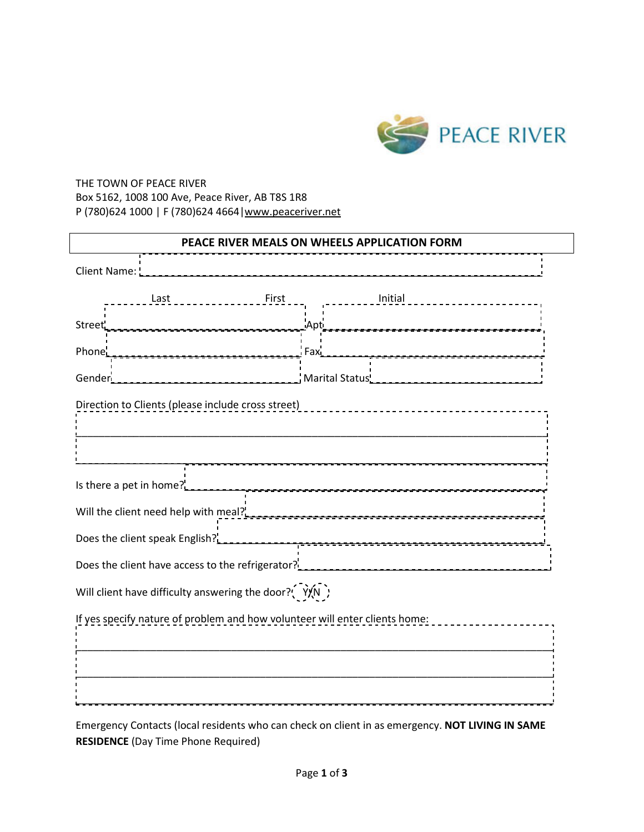

## THE TOWN OF PEACE RIVER Box 5162, 1008 100 Ave, Peace River, AB T8S 1R8 P (780)624 1000 | F (780)624 4664|www.peaceriver.net

| PEACE RIVER MEALS ON WHEELS APPLICATION FORM                                    |  |         |  |                                       |  |
|---------------------------------------------------------------------------------|--|---------|--|---------------------------------------|--|
|                                                                                 |  |         |  |                                       |  |
| - - - - - - - - - - - - First<br>Last                                           |  | Initial |  |                                       |  |
|                                                                                 |  |         |  |                                       |  |
| Phone' <sub>2333333</sub> Fax <sup>1</sup>                                      |  |         |  | <u> -----------------------------</u> |  |
|                                                                                 |  |         |  |                                       |  |
|                                                                                 |  |         |  |                                       |  |
|                                                                                 |  |         |  |                                       |  |
| Is there a pet in home? <sup>1</sup> <sub>4-1-1-1-1-1-2-2-2-2-2-2-2-2-2-2</sub> |  |         |  |                                       |  |
| Will the client need help with meal?                                            |  |         |  |                                       |  |
|                                                                                 |  |         |  |                                       |  |
|                                                                                 |  |         |  |                                       |  |
| Will client have difficulty answering the door? $\left(\gamma\right)$           |  |         |  |                                       |  |
| If yes specify nature of problem and how volunteer will enter clients home:     |  |         |  |                                       |  |
|                                                                                 |  |         |  |                                       |  |
|                                                                                 |  |         |  |                                       |  |
|                                                                                 |  |         |  |                                       |  |

Emergency Contacts (local residents who can check on client in as emergency. **NOT LIVING IN SAME RESIDENCE** (Day Time Phone Required)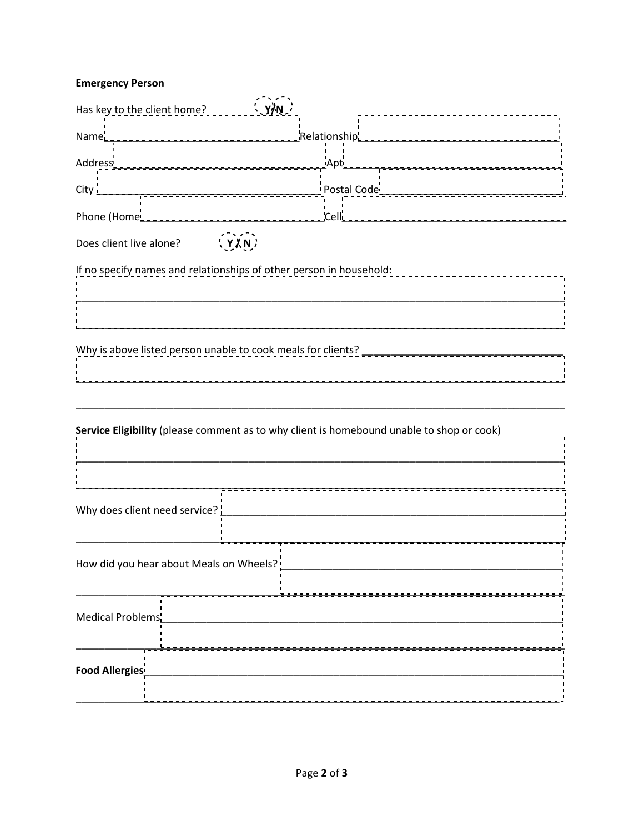## **Emergency Person**

| Has key to the client home?                                                               |  |  |  |  |
|-------------------------------------------------------------------------------------------|--|--|--|--|
| Relationship'<br>Name                                                                     |  |  |  |  |
| _Apt_<br>Address ___________________                                                      |  |  |  |  |
|                                                                                           |  |  |  |  |
|                                                                                           |  |  |  |  |
| Does client live alone? \{\\\_\\_\\_\                                                     |  |  |  |  |
| If no specify names and relationships of other person in household:                       |  |  |  |  |
|                                                                                           |  |  |  |  |
|                                                                                           |  |  |  |  |
| Why is above listed person unable to cook meals for clients?                              |  |  |  |  |
|                                                                                           |  |  |  |  |
|                                                                                           |  |  |  |  |
| Service Eligibility (please comment as to why client is homebound unable to shop or cook) |  |  |  |  |
|                                                                                           |  |  |  |  |
|                                                                                           |  |  |  |  |
| Why does client need service? $\frac{1}{2}$                                               |  |  |  |  |
|                                                                                           |  |  |  |  |
| How did you hear about Meals on Wheels?                                                   |  |  |  |  |
|                                                                                           |  |  |  |  |
| Medical Problems'                                                                         |  |  |  |  |
|                                                                                           |  |  |  |  |
| Food Allergies <sup>i</sup>                                                               |  |  |  |  |
|                                                                                           |  |  |  |  |